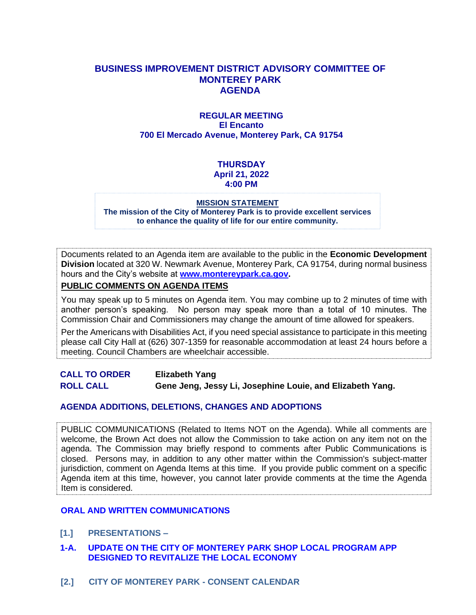#### **BUSINESS IMPROVEMENT DISTRICT ADVISORY COMMITTEE OF MONTEREY PARK AGENDA**

#### **REGULAR MEETING El Encanto 700 El Mercado Avenue, Monterey Park, CA 91754**

#### **THURSDAY April 21, 2022 4:00 PM**

#### **MISSION STATEMENT**

**The mission of the City of Monterey Park is to provide excellent services to enhance the quality of life for our entire community.**

Documents related to an Agenda item are available to the public in the **Economic Development Division** located at 320 W. Newmark Avenue, Monterey Park, CA 91754, during normal business hours and the City's website at **[www.montereypark.ca.gov.](http://www.montereypark.ca.gov/)** 

#### **PUBLIC COMMENTS ON AGENDA ITEMS**

You may speak up to 5 minutes on Agenda item. You may combine up to 2 minutes of time with another person's speaking. No person may speak more than a total of 10 minutes. The Commission Chair and Commissioners may change the amount of time allowed for speakers.

Per the Americans with Disabilities Act, if you need special assistance to participate in this meeting please call City Hall at (626) 307-1359 for reasonable accommodation at least 24 hours before a meeting. Council Chambers are wheelchair accessible.

**CALL TO ORDER Elizabeth Yang ROLL CALL Gene Jeng, Jessy Li, Josephine Louie, and Elizabeth Yang.**

#### **AGENDA ADDITIONS, DELETIONS, CHANGES AND ADOPTIONS**

PUBLIC COMMUNICATIONS (Related to Items NOT on the Agenda). While all comments are welcome, the Brown Act does not allow the Commission to take action on any item not on the agenda. The Commission may briefly respond to comments after Public Communications is closed. Persons may, in addition to any other matter within the Commission's subject-matter jurisdiction, comment on Agenda Items at this time. If you provide public comment on a specific Agenda item at this time, however, you cannot later provide comments at the time the Agenda Item is considered.

#### **ORAL AND WRITTEN COMMUNICATIONS**

- **[1.] PRESENTATIONS –**
- **1-A. UPDATE ON THE CITY OF MONTEREY PARK SHOP LOCAL PROGRAM APP DESIGNED TO REVITALIZE THE LOCAL ECONOMY**
- **[2.] CITY OF MONTEREY PARK - CONSENT CALENDAR**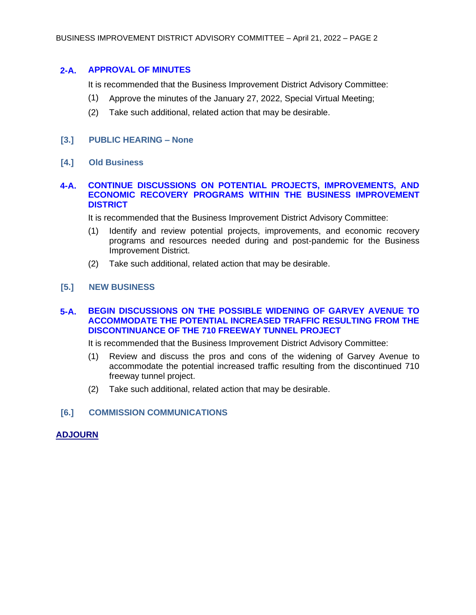#### **2-A. APPROVAL OF MINUTES**

It is recommended that the Business Improvement District Advisory Committee:

- (1) Approve the minutes of the January 27, 2022, Special Virtual Meeting;
- (2) Take such additional, related action that may be desirable.

#### **[3.] PUBLIC HEARING – None**

**[4.] Old Business**

#### **4-A. CONTINUE DISCUSSIONS ON POTENTIAL PROJECTS, IMPROVEMENTS, AND ECONOMIC RECOVERY PROGRAMS WITHIN THE BUSINESS IMPROVEMENT DISTRICT**

It is recommended that the Business Improvement District Advisory Committee:

- (1) Identify and review potential projects, improvements, and economic recovery programs and resources needed during and post-pandemic for the Business Improvement District.
- (2) Take such additional, related action that may be desirable.

#### **[5.] NEW BUSINESS**

#### **5-A. BEGIN DISCUSSIONS ON THE POSSIBLE WIDENING OF GARVEY AVENUE TO ACCOMMODATE THE POTENTIAL INCREASED TRAFFIC RESULTING FROM THE DISCONTINUANCE OF THE 710 FREEWAY TUNNEL PROJECT**

It is recommended that the Business Improvement District Advisory Committee:

- (1) Review and discuss the pros and cons of the widening of Garvey Avenue to accommodate the potential increased traffic resulting from the discontinued 710 freeway tunnel project.
- (2) Take such additional, related action that may be desirable.
- **[6.] COMMISSION COMMUNICATIONS**

#### **ADJOURN**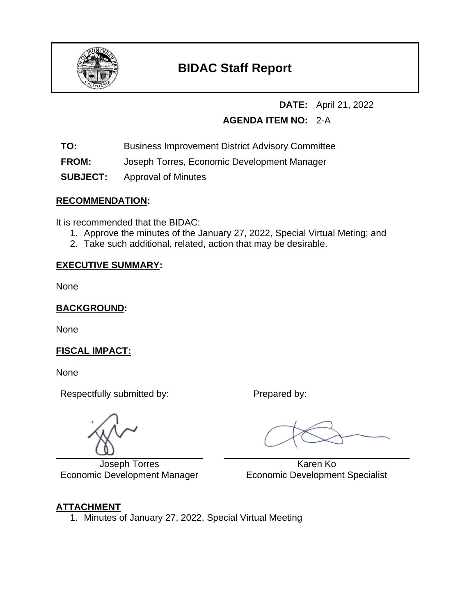

# **BIDAC Staff Report**

# **DATE:** April 21, 2022

# **AGENDA ITEM NO:** 2-A

- **TO:** Business Improvement District Advisory Committee
- **FROM:** Joseph Torres, Economic Development Manager
- **SUBJECT:** Approval of Minutes

# **RECOMMENDATION:**

It is recommended that the BIDAC:

- 1. Approve the minutes of the January 27, 2022, Special Virtual Meting; and
- 2. Take such additional, related, action that may be desirable.

# **EXECUTIVE SUMMARY:**

None

**BACKGROUND:**

None

# **FISCAL IMPACT:**

None

Respectfully submitted by: Prepared by:

L Joseph Torres Economic Development Manager

 Karen Ko Economic Development Specialist

# **ATTACHMENT**

1. Minutes of January 27, 2022, Special Virtual Meeting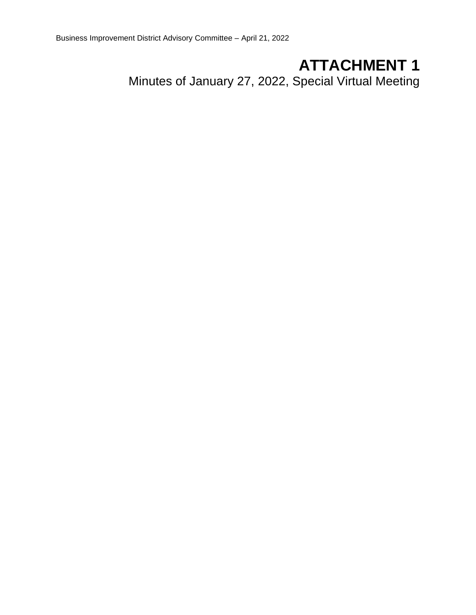# **ATTACHMENT 1**

Minutes of January 27, 2022, Special Virtual Meeting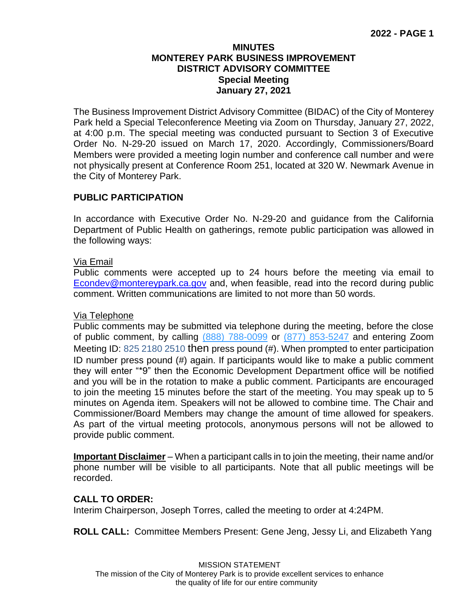#### **MINUTES MONTEREY PARK BUSINESS IMPROVEMENT DISTRICT ADVISORY COMMITTEE Special Meeting January 27, 2021**

The Business Improvement District Advisory Committee (BIDAC) of the City of Monterey Park held a Special Teleconference Meeting via Zoom on Thursday, January 27, 2022, at 4:00 p.m. The special meeting was conducted pursuant to Section 3 of Executive Order No. N-29-20 issued on March 17, 2020. Accordingly, Commissioners/Board Members were provided a meeting login number and conference call number and were not physically present at Conference Room 251, located at 320 W. Newmark Avenue in the City of Monterey Park.

### **PUBLIC PARTICIPATION**

In accordance with Executive Order No. N-29-20 and guidance from the California Department of Public Health on gatherings, remote public participation was allowed in the following ways:

#### Via Email

Public comments were accepted up to 24 hours before the meeting via email to [Econdev@montereypark.ca.gov](mailto:Econdev@montereypark.ca.gov) and, when feasible, read into the record during public comment. Written communications are limited to not more than 50 words.

### Via Telephone

Public comments may be submitted via telephone during the meeting, before the close of public comment, by calling (888) 788-0099 or (877) 853-5247 and entering Zoom Meeting ID: 825 2180 2510 then press pound (#). When prompted to enter participation ID number press pound (#) again. If participants would like to make a public comment they will enter "\*9" then the Economic Development Department office will be notified and you will be in the rotation to make a public comment. Participants are encouraged to join the meeting 15 minutes before the start of the meeting. You may speak up to 5 minutes on Agenda item. Speakers will not be allowed to combine time. The Chair and Commissioner/Board Members may change the amount of time allowed for speakers. As part of the virtual meeting protocols, anonymous persons will not be allowed to provide public comment.

**Important Disclaimer** – When a participant calls in to join the meeting, their name and/or phone number will be visible to all participants. Note that all public meetings will be recorded.

#### **CALL TO ORDER:**

Interim Chairperson, Joseph Torres, called the meeting to order at 4:24PM.

**ROLL CALL:** Committee Members Present: Gene Jeng, Jessy Li, and Elizabeth Yang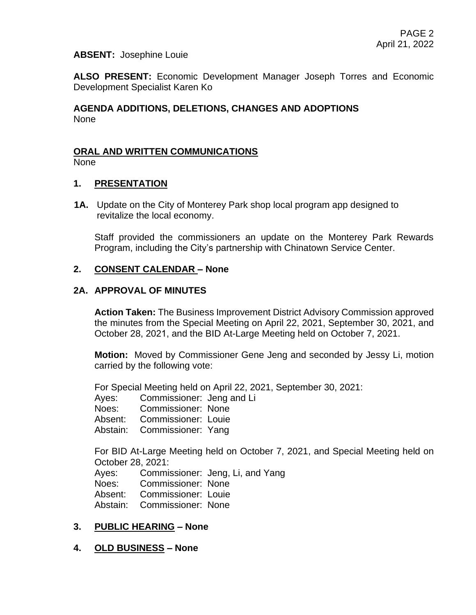#### **ABSENT:** Josephine Louie

**ALSO PRESENT:** Economic Development Manager Joseph Torres and Economic Development Specialist Karen Ko

#### **AGENDA ADDITIONS, DELETIONS, CHANGES AND ADOPTIONS** None

#### **ORAL AND WRITTEN COMMUNICATIONS**

None

#### **1. PRESENTATION**

**1A.** Update on the City of Monterey Park shop local program app designed to revitalize the local economy.

Staff provided the commissioners an update on the Monterey Park Rewards Program, including the City's partnership with Chinatown Service Center.

#### **2. CONSENT CALENDAR – None**

#### **2A. APPROVAL OF MINUTES**

**Action Taken:** The Business Improvement District Advisory Commission approved the minutes from the Special Meeting on April 22, 2021, September 30, 2021, and October 28, 2021, and the BID At-Large Meeting held on October 7, 2021.

**Motion:** Moved by Commissioner Gene Jeng and seconded by Jessy Li, motion carried by the following vote:

For Special Meeting held on April 22, 2021, September 30, 2021:

Ayes: Commissioner: Jeng and Li

Noes: Commissioner: None

Absent: Commissioner: Louie

Abstain: Commissioner: Yang

For BID At-Large Meeting held on October 7, 2021, and Special Meeting held on October 28, 2021:

Ayes: Commissioner: Jeng, Li, and Yang Noes: Commissioner: None Absent: Commissioner: Louie Abstain: Commissioner: None

### **3. PUBLIC HEARING – None**

### **4. OLD BUSINESS – None**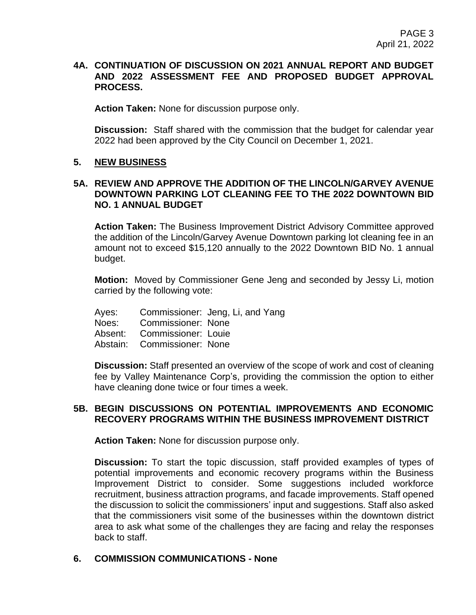#### **4A. CONTINUATION OF DISCUSSION ON 2021 ANNUAL REPORT AND BUDGET AND 2022 ASSESSMENT FEE AND PROPOSED BUDGET APPROVAL PROCESS.**

**Action Taken:** None for discussion purpose only.

**Discussion:** Staff shared with the commission that the budget for calendar year 2022 had been approved by the City Council on December 1, 2021.

#### **5. NEW BUSINESS**

#### **5A. REVIEW AND APPROVE THE ADDITION OF THE LINCOLN/GARVEY AVENUE DOWNTOWN PARKING LOT CLEANING FEE TO THE 2022 DOWNTOWN BID NO. 1 ANNUAL BUDGET**

**Action Taken:** The Business Improvement District Advisory Committee approved the addition of the Lincoln/Garvey Avenue Downtown parking lot cleaning fee in an amount not to exceed \$15,120 annually to the 2022 Downtown BID No. 1 annual budget.

**Motion:** Moved by Commissioner Gene Jeng and seconded by Jessy Li, motion carried by the following vote:

|                             | Ayes: Commissioner: Jeng, Li, and Yang |
|-----------------------------|----------------------------------------|
| Noes: Commissioner: None    |                                        |
| Absent: Commissioner: Louie |                                        |
| Abstain: Commissioner: None |                                        |

**Discussion:** Staff presented an overview of the scope of work and cost of cleaning fee by Valley Maintenance Corp's, providing the commission the option to either have cleaning done twice or four times a week.

#### **5B. BEGIN DISCUSSIONS ON POTENTIAL IMPROVEMENTS AND ECONOMIC RECOVERY PROGRAMS WITHIN THE BUSINESS IMPROVEMENT DISTRICT**

**Action Taken:** None for discussion purpose only.

**Discussion:** To start the topic discussion, staff provided examples of types of potential improvements and economic recovery programs within the Business Improvement District to consider. Some suggestions included workforce recruitment, business attraction programs, and facade improvements. Staff opened the discussion to solicit the commissioners' input and suggestions. Staff also asked that the commissioners visit some of the businesses within the downtown district area to ask what some of the challenges they are facing and relay the responses back to staff.

#### **6. COMMISSION COMMUNICATIONS - None**